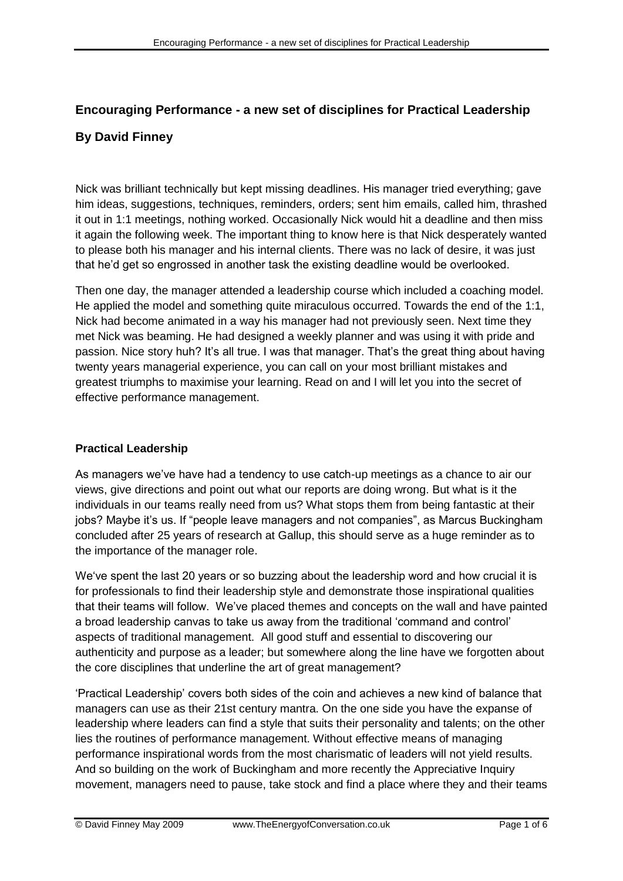# **Encouraging Performance - a new set of disciplines for Practical Leadership By David Finney**

Nick was brilliant technically but kept missing deadlines. His manager tried everything; gave him ideas, suggestions, techniques, reminders, orders; sent him emails, called him, thrashed it out in 1:1 meetings, nothing worked. Occasionally Nick would hit a deadline and then miss it again the following week. The important thing to know here is that Nick desperately wanted to please both his manager and his internal clients. There was no lack of desire, it was just that he"d get so engrossed in another task the existing deadline would be overlooked.

Then one day, the manager attended a leadership course which included a coaching model. He applied the model and something quite miraculous occurred. Towards the end of the 1:1, Nick had become animated in a way his manager had not previously seen. Next time they met Nick was beaming. He had designed a weekly planner and was using it with pride and passion. Nice story huh? It's all true. I was that manager. That's the great thing about having twenty years managerial experience, you can call on your most brilliant mistakes and greatest triumphs to maximise your learning. Read on and I will let you into the secret of effective performance management.

## **Practical Leadership**

As managers we"ve have had a tendency to use catch-up meetings as a chance to air our views, give directions and point out what our reports are doing wrong. But what is it the individuals in our teams really need from us? What stops them from being fantastic at their jobs? Maybe it's us. If "people leave managers and not companies", as Marcus Buckingham concluded after 25 years of research at Gallup, this should serve as a huge reminder as to the importance of the manager role.

We"ve spent the last 20 years or so buzzing about the leadership word and how crucial it is for professionals to find their leadership style and demonstrate those inspirational qualities that their teams will follow. We"ve placed themes and concepts on the wall and have painted a broad leadership canvas to take us away from the traditional "command and control" aspects of traditional management. All good stuff and essential to discovering our authenticity and purpose as a leader; but somewhere along the line have we forgotten about the core disciplines that underline the art of great management?

"Practical Leadership" covers both sides of the coin and achieves a new kind of balance that managers can use as their 21st century mantra. On the one side you have the expanse of leadership where leaders can find a style that suits their personality and talents; on the other lies the routines of performance management. Without effective means of managing performance inspirational words from the most charismatic of leaders will not yield results. And so building on the work of Buckingham and more recently the Appreciative Inquiry movement, managers need to pause, take stock and find a place where they and their teams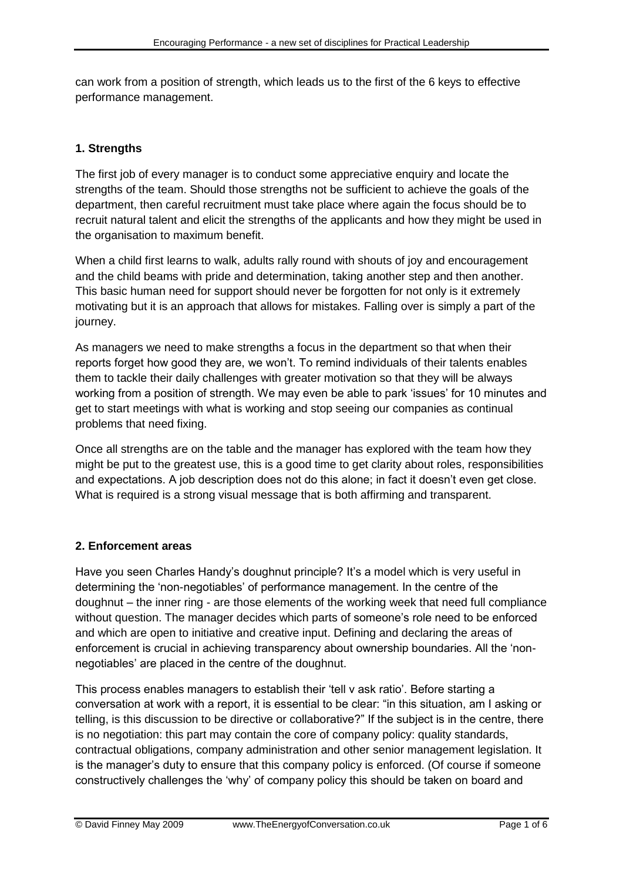can work from a position of strength, which leads us to the first of the 6 keys to effective performance management.

## **1. Strengths**

The first job of every manager is to conduct some appreciative enquiry and locate the strengths of the team. Should those strengths not be sufficient to achieve the goals of the department, then careful recruitment must take place where again the focus should be to recruit natural talent and elicit the strengths of the applicants and how they might be used in the organisation to maximum benefit.

When a child first learns to walk, adults rally round with shouts of joy and encouragement and the child beams with pride and determination, taking another step and then another. This basic human need for support should never be forgotten for not only is it extremely motivating but it is an approach that allows for mistakes. Falling over is simply a part of the journey.

As managers we need to make strengths a focus in the department so that when their reports forget how good they are, we won"t. To remind individuals of their talents enables them to tackle their daily challenges with greater motivation so that they will be always working from a position of strength. We may even be able to park "issues" for 10 minutes and get to start meetings with what is working and stop seeing our companies as continual problems that need fixing.

Once all strengths are on the table and the manager has explored with the team how they might be put to the greatest use, this is a good time to get clarity about roles, responsibilities and expectations. A job description does not do this alone; in fact it doesn't even get close. What is required is a strong visual message that is both affirming and transparent.

## **2. Enforcement areas**

Have you seen Charles Handy's doughnut principle? It's a model which is very useful in determining the "non-negotiables" of performance management. In the centre of the doughnut – the inner ring - are those elements of the working week that need full compliance without question. The manager decides which parts of someone's role need to be enforced and which are open to initiative and creative input. Defining and declaring the areas of enforcement is crucial in achieving transparency about ownership boundaries. All the "nonnegotiables" are placed in the centre of the doughnut.

This process enables managers to establish their "tell v ask ratio". Before starting a conversation at work with a report, it is essential to be clear: "in this situation, am I asking or telling, is this discussion to be directive or collaborative?" If the subject is in the centre, there is no negotiation: this part may contain the core of company policy: quality standards, contractual obligations, company administration and other senior management legislation. It is the manager"s duty to ensure that this company policy is enforced. (Of course if someone constructively challenges the "why" of company policy this should be taken on board and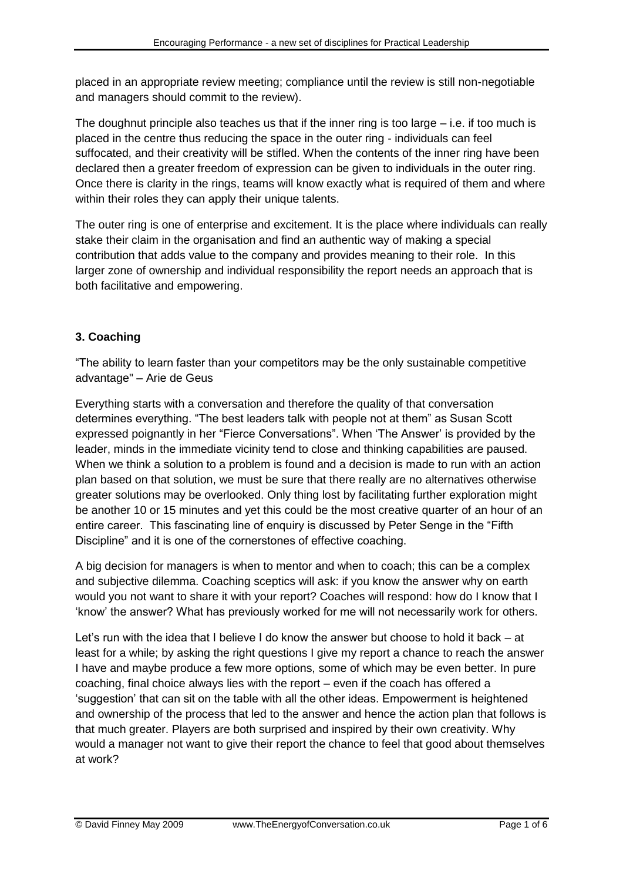placed in an appropriate review meeting; compliance until the review is still non-negotiable and managers should commit to the review).

The doughnut principle also teaches us that if the inner ring is too large  $-$  i.e. if too much is placed in the centre thus reducing the space in the outer ring - individuals can feel suffocated, and their creativity will be stifled. When the contents of the inner ring have been declared then a greater freedom of expression can be given to individuals in the outer ring. Once there is clarity in the rings, teams will know exactly what is required of them and where within their roles they can apply their unique talents.

The outer ring is one of enterprise and excitement. It is the place where individuals can really stake their claim in the organisation and find an authentic way of making a special contribution that adds value to the company and provides meaning to their role. In this larger zone of ownership and individual responsibility the report needs an approach that is both facilitative and empowering.

# **3. Coaching**

"The ability to learn faster than your competitors may be the only sustainable competitive advantage" – Arie de Geus

Everything starts with a conversation and therefore the quality of that conversation determines everything. "The best leaders talk with people not at them" as Susan Scott expressed poignantly in her "Fierce Conversations". When "The Answer" is provided by the leader, minds in the immediate vicinity tend to close and thinking capabilities are paused. When we think a solution to a problem is found and a decision is made to run with an action plan based on that solution, we must be sure that there really are no alternatives otherwise greater solutions may be overlooked. Only thing lost by facilitating further exploration might be another 10 or 15 minutes and yet this could be the most creative quarter of an hour of an entire career. This fascinating line of enquiry is discussed by Peter Senge in the "Fifth Discipline" and it is one of the cornerstones of effective coaching.

A big decision for managers is when to mentor and when to coach; this can be a complex and subjective dilemma. Coaching sceptics will ask: if you know the answer why on earth would you not want to share it with your report? Coaches will respond: how do I know that I "know" the answer? What has previously worked for me will not necessarily work for others.

Let"s run with the idea that I believe I do know the answer but choose to hold it back – at least for a while; by asking the right questions I give my report a chance to reach the answer I have and maybe produce a few more options, some of which may be even better. In pure coaching, final choice always lies with the report – even if the coach has offered a "suggestion" that can sit on the table with all the other ideas. Empowerment is heightened and ownership of the process that led to the answer and hence the action plan that follows is that much greater. Players are both surprised and inspired by their own creativity. Why would a manager not want to give their report the chance to feel that good about themselves at work?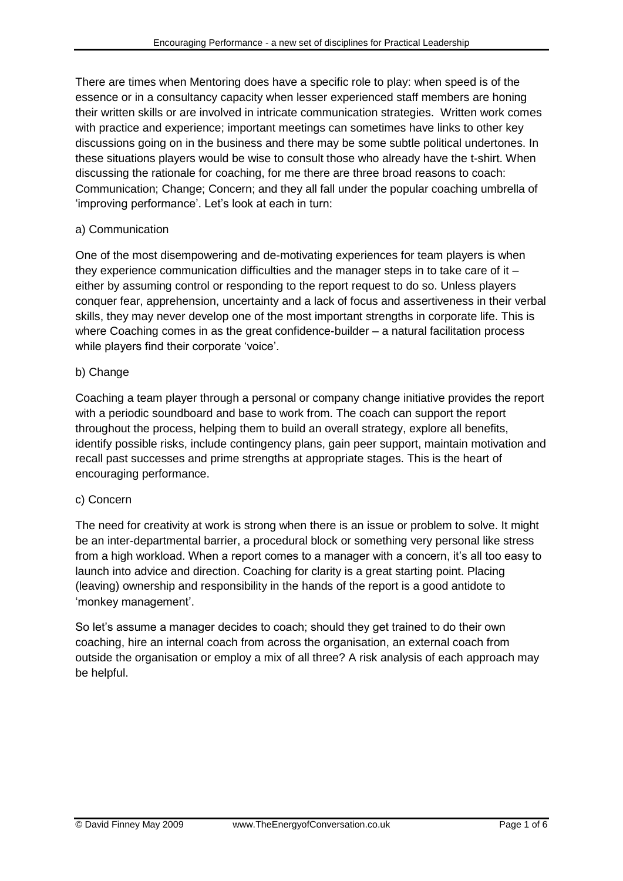There are times when Mentoring does have a specific role to play: when speed is of the essence or in a consultancy capacity when lesser experienced staff members are honing their written skills or are involved in intricate communication strategies. Written work comes with practice and experience; important meetings can sometimes have links to other key discussions going on in the business and there may be some subtle political undertones. In these situations players would be wise to consult those who already have the t-shirt. When discussing the rationale for coaching, for me there are three broad reasons to coach: Communication; Change; Concern; and they all fall under the popular coaching umbrella of 'improving performance'. Let's look at each in turn:

## a) Communication

One of the most disempowering and de-motivating experiences for team players is when they experience communication difficulties and the manager steps in to take care of it  $$ either by assuming control or responding to the report request to do so. Unless players conquer fear, apprehension, uncertainty and a lack of focus and assertiveness in their verbal skills, they may never develop one of the most important strengths in corporate life. This is where Coaching comes in as the great confidence-builder – a natural facilitation process while players find their corporate 'voice'.

## b) Change

Coaching a team player through a personal or company change initiative provides the report with a periodic soundboard and base to work from. The coach can support the report throughout the process, helping them to build an overall strategy, explore all benefits, identify possible risks, include contingency plans, gain peer support, maintain motivation and recall past successes and prime strengths at appropriate stages. This is the heart of encouraging performance.

## c) Concern

The need for creativity at work is strong when there is an issue or problem to solve. It might be an inter-departmental barrier, a procedural block or something very personal like stress from a high workload. When a report comes to a manager with a concern, it's all too easy to launch into advice and direction. Coaching for clarity is a great starting point. Placing (leaving) ownership and responsibility in the hands of the report is a good antidote to "monkey management".

So let"s assume a manager decides to coach; should they get trained to do their own coaching, hire an internal coach from across the organisation, an external coach from outside the organisation or employ a mix of all three? A risk analysis of each approach may be helpful.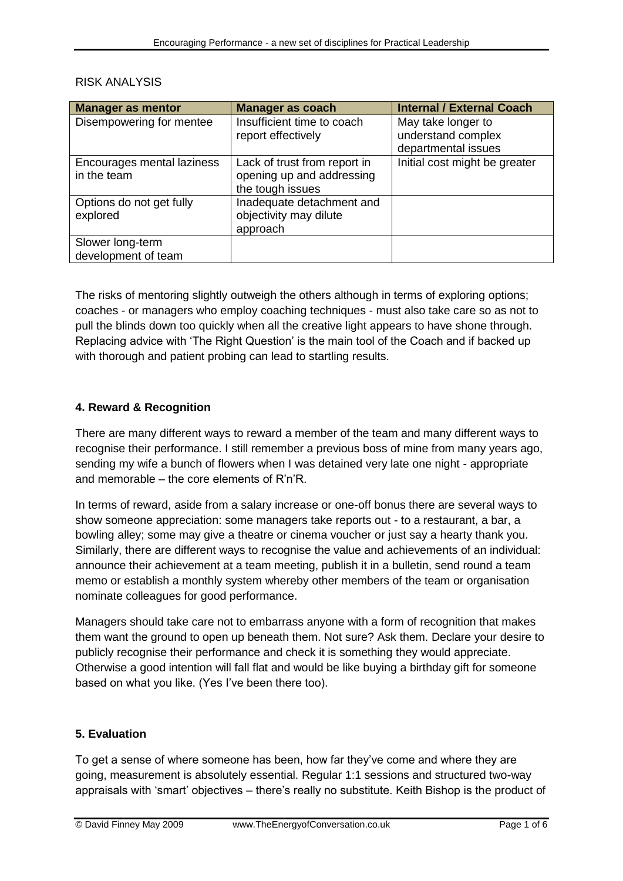| <b>Manager as mentor</b>   | <b>Manager as coach</b>      | <b>Internal / External Coach</b> |
|----------------------------|------------------------------|----------------------------------|
| Disempowering for mentee   | Insufficient time to coach   | May take longer to               |
|                            | report effectively           | understand complex               |
|                            |                              | departmental issues              |
| Encourages mental laziness | Lack of trust from report in | Initial cost might be greater    |
| in the team                | opening up and addressing    |                                  |
|                            | the tough issues             |                                  |
| Options do not get fully   | Inadequate detachment and    |                                  |
| explored                   | objectivity may dilute       |                                  |
|                            | approach                     |                                  |
| Slower long-term           |                              |                                  |
| development of team        |                              |                                  |

#### RISK ANALYSIS

The risks of mentoring slightly outweigh the others although in terms of exploring options; coaches - or managers who employ coaching techniques - must also take care so as not to pull the blinds down too quickly when all the creative light appears to have shone through. Replacing advice with "The Right Question" is the main tool of the Coach and if backed up with thorough and patient probing can lead to startling results.

### **4. Reward & Recognition**

There are many different ways to reward a member of the team and many different ways to recognise their performance. I still remember a previous boss of mine from many years ago, sending my wife a bunch of flowers when I was detained very late one night - appropriate and memorable – the core elements of R"n"R.

In terms of reward, aside from a salary increase or one-off bonus there are several ways to show someone appreciation: some managers take reports out - to a restaurant, a bar, a bowling alley; some may give a theatre or cinema voucher or just say a hearty thank you. Similarly, there are different ways to recognise the value and achievements of an individual: announce their achievement at a team meeting, publish it in a bulletin, send round a team memo or establish a monthly system whereby other members of the team or organisation nominate colleagues for good performance.

Managers should take care not to embarrass anyone with a form of recognition that makes them want the ground to open up beneath them. Not sure? Ask them. Declare your desire to publicly recognise their performance and check it is something they would appreciate. Otherwise a good intention will fall flat and would be like buying a birthday gift for someone based on what you like. (Yes I've been there too).

#### **5. Evaluation**

To get a sense of where someone has been, how far they"ve come and where they are going, measurement is absolutely essential. Regular 1:1 sessions and structured two-way appraisals with "smart" objectives – there"s really no substitute. Keith Bishop is the product of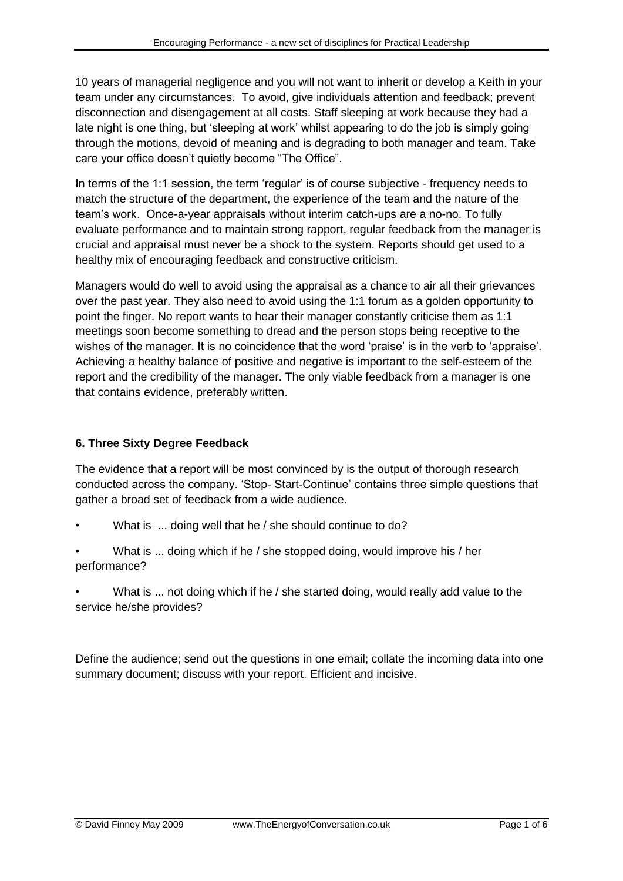10 years of managerial negligence and you will not want to inherit or develop a Keith in your team under any circumstances. To avoid, give individuals attention and feedback; prevent disconnection and disengagement at all costs. Staff sleeping at work because they had a late night is one thing, but "sleeping at work" whilst appearing to do the job is simply going through the motions, devoid of meaning and is degrading to both manager and team. Take care your office doesn"t quietly become "The Office".

In terms of the 1:1 session, the term "regular" is of course subjective - frequency needs to match the structure of the department, the experience of the team and the nature of the team"s work. Once-a-year appraisals without interim catch-ups are a no-no. To fully evaluate performance and to maintain strong rapport, regular feedback from the manager is crucial and appraisal must never be a shock to the system. Reports should get used to a healthy mix of encouraging feedback and constructive criticism.

Managers would do well to avoid using the appraisal as a chance to air all their grievances over the past year. They also need to avoid using the 1:1 forum as a golden opportunity to point the finger. No report wants to hear their manager constantly criticise them as 1:1 meetings soon become something to dread and the person stops being receptive to the wishes of the manager. It is no coincidence that the word 'praise' is in the verb to 'appraise'. Achieving a healthy balance of positive and negative is important to the self-esteem of the report and the credibility of the manager. The only viable feedback from a manager is one that contains evidence, preferably written.

# **6. Three Sixty Degree Feedback**

The evidence that a report will be most convinced by is the output of thorough research conducted across the company. "Stop- Start-Continue" contains three simple questions that gather a broad set of feedback from a wide audience.

- What is ... doing well that he / she should continue to do?
- What is ... doing which if he / she stopped doing, would improve his / her performance?
- What is ... not doing which if he / she started doing, would really add value to the service he/she provides?

Define the audience; send out the questions in one email; collate the incoming data into one summary document; discuss with your report. Efficient and incisive.